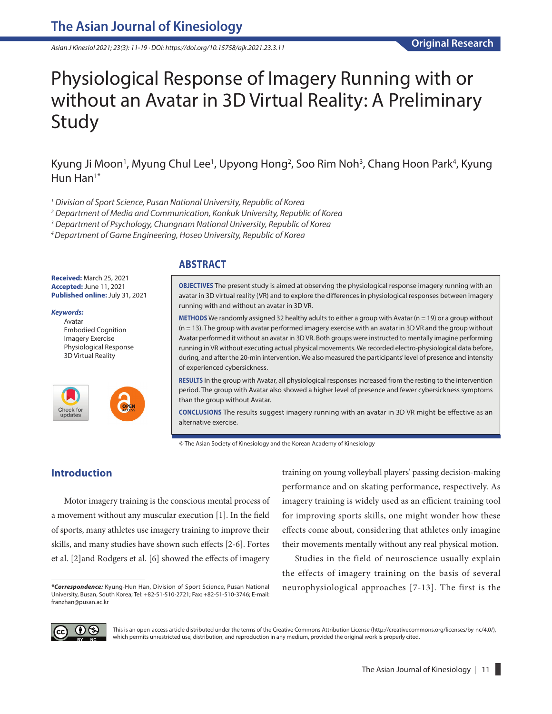*Asian J Kinesiol 2021; 23(3): 11-19 · DOI: https://doi.org/10.15758/ajk.2021.23.3.11*

# Physiological Response of Imagery Running with or without an Avatar in 3D Virtual Reality: A Preliminary Study

Kyung Ji Moon<sup>1</sup>, Myung Chul Lee<sup>1</sup>, Upyong Hong<sup>2</sup>, Soo Rim Noh<sup>3</sup>, Chang Hoon Park<sup>4</sup>, Kyung Hun Han<sup>1\*</sup>

*1 Division of Sport Science, Pusan National University, Republic of Korea*

*2 Department of Media and Communication, Konkuk University, Republic of Korea*

*3 Department of Psychology, Chungnam National University, Republic of Korea*

*4 Department of Game Engineering, Hoseo University, Republic of Korea*

## **ABSTRACT**

**Received:** March 25, 2021 **Accepted:** June 11, 2021 **Published online:** July 31, 2021

## *Keywords:*

Avatar Embodied Cognition Imagery Exercise Physiological Response 3D Virtual Reality



**OBJECTIVES** The present study is aimed at observing the physiological response imagery running with an avatar in 3D virtual reality (VR) and to explore the differences in physiological responses between imagery running with and without an avatar in 3D VR.

**METHODS** We randomly assigned 32 healthy adults to either a group with Avatar (n = 19) or a group without (n = 13). The group with avatar performed imagery exercise with an avatar in 3D VR and the group without Avatar performed it without an avatar in 3D VR. Both groups were instructed to mentally imagine performing running in VR without executing actual physical movements. We recorded electro-physiological data before, during, and after the 20-min intervention. We also measured the participants' level of presence and intensity of experienced cybersickness.

**RESULTS** In the group with Avatar, all physiological responses increased from the resting to the intervention period. The group with Avatar also showed a higher level of presence and fewer cybersickness symptoms than the group without Avatar.

**CONCLUSIONS** The results suggest imagery running with an avatar in 3D VR might be effective as an alternative exercise.

© The Asian Society of Kinesiology and the Korean Academy of Kinesiology

## **Introduction**

Motor imagery training is the conscious mental process of a movement without any muscular execution [1]. In the field of sports, many athletes use imagery training to improve their skills, and many studies have shown such effects [2-6]. Fortes et al. [2]and Rodgers et al. [6] showed the effects of imagery training on young volleyball players' passing decision-making performance and on skating performance, respectively. As imagery training is widely used as an efficient training tool for improving sports skills, one might wonder how these effects come about, considering that athletes only imagine their movements mentally without any real physical motion.

Studies in the field of neuroscience usually explain the effects of imagery training on the basis of several neurophysiological approaches [7-13]. The first is the



This is an open-access article distributed under the terms of the Creative Commons Attribution License (http://creativecommons.org/licenses/by-nc/4.0/), which permits unrestricted use, distribution, and reproduction in any medium, provided the original work is properly cited.

*<sup>\*</sup>Correspondence:* Kyung-Hun Han, Division of Sport Science, Pusan National University, Busan, South Korea; Tel: +82-51-510-2721; Fax: +82-51-510-3746; E-mail: franzhan@pusan.ac.kr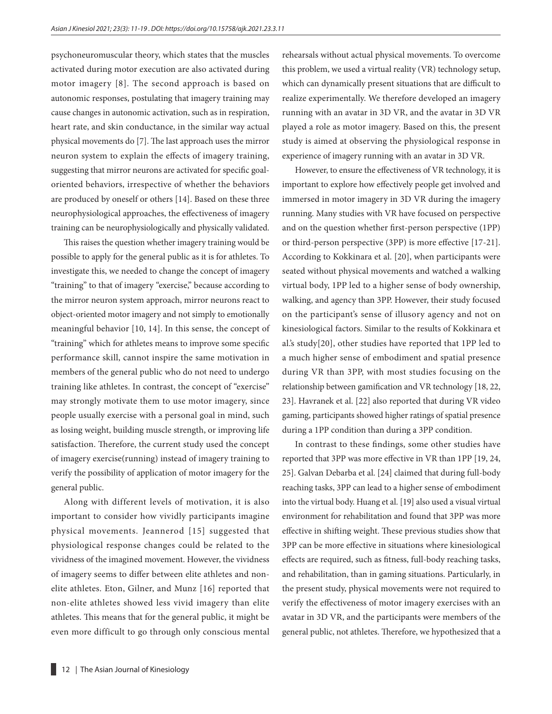psychoneuromuscular theory, which states that the muscles activated during motor execution are also activated during motor imagery [8]. The second approach is based on autonomic responses, postulating that imagery training may cause changes in autonomic activation, such as in respiration, heart rate, and skin conductance, in the similar way actual physical movements do [7]. The last approach uses the mirror neuron system to explain the effects of imagery training, suggesting that mirror neurons are activated for specific goaloriented behaviors, irrespective of whether the behaviors are produced by oneself or others [14]. Based on these three neurophysiological approaches, the effectiveness of imagery training can be neurophysiologically and physically validated.

This raises the question whether imagery training would be possible to apply for the general public as it is for athletes. To investigate this, we needed to change the concept of imagery "training" to that of imagery "exercise," because according to the mirror neuron system approach, mirror neurons react to object-oriented motor imagery and not simply to emotionally meaningful behavior [10, 14]. In this sense, the concept of "training" which for athletes means to improve some specific performance skill, cannot inspire the same motivation in members of the general public who do not need to undergo training like athletes. In contrast, the concept of "exercise" may strongly motivate them to use motor imagery, since people usually exercise with a personal goal in mind, such as losing weight, building muscle strength, or improving life satisfaction. Therefore, the current study used the concept of imagery exercise(running) instead of imagery training to verify the possibility of application of motor imagery for the general public.

Along with different levels of motivation, it is also important to consider how vividly participants imagine physical movements. Jeannerod [15] suggested that physiological response changes could be related to the vividness of the imagined movement. However, the vividness of imagery seems to differ between elite athletes and nonelite athletes. Eton, Gilner, and Munz [16] reported that non-elite athletes showed less vivid imagery than elite athletes. This means that for the general public, it might be even more difficult to go through only conscious mental rehearsals without actual physical movements. To overcome this problem, we used a virtual reality (VR) technology setup, which can dynamically present situations that are difficult to realize experimentally. We therefore developed an imagery running with an avatar in 3D VR, and the avatar in 3D VR played a role as motor imagery. Based on this, the present study is aimed at observing the physiological response in experience of imagery running with an avatar in 3D VR.

However, to ensure the effectiveness of VR technology, it is important to explore how effectively people get involved and immersed in motor imagery in 3D VR during the imagery running. Many studies with VR have focused on perspective and on the question whether first-person perspective (1PP) or third-person perspective (3PP) is more effective [17-21]. According to Kokkinara et al. [20], when participants were seated without physical movements and watched a walking virtual body, 1PP led to a higher sense of body ownership, walking, and agency than 3PP. However, their study focused on the participant's sense of illusory agency and not on kinesiological factors. Similar to the results of Kokkinara et al.'s study[20], other studies have reported that 1PP led to a much higher sense of embodiment and spatial presence during VR than 3PP, with most studies focusing on the relationship between gamification and VR technology [18, 22, 23]. Havranek et al. [22] also reported that during VR video gaming, participants showed higher ratings of spatial presence during a 1PP condition than during a 3PP condition.

In contrast to these findings, some other studies have reported that 3PP was more effective in VR than 1PP [19, 24, 25]. Galvan Debarba et al. [24] claimed that during full-body reaching tasks, 3PP can lead to a higher sense of embodiment into the virtual body. Huang et al. [19] also used a visual virtual environment for rehabilitation and found that 3PP was more effective in shifting weight. These previous studies show that 3PP can be more effective in situations where kinesiological effects are required, such as fitness, full-body reaching tasks, and rehabilitation, than in gaming situations. Particularly, in the present study, physical movements were not required to verify the effectiveness of motor imagery exercises with an avatar in 3D VR, and the participants were members of the general public, not athletes. Therefore, we hypothesized that a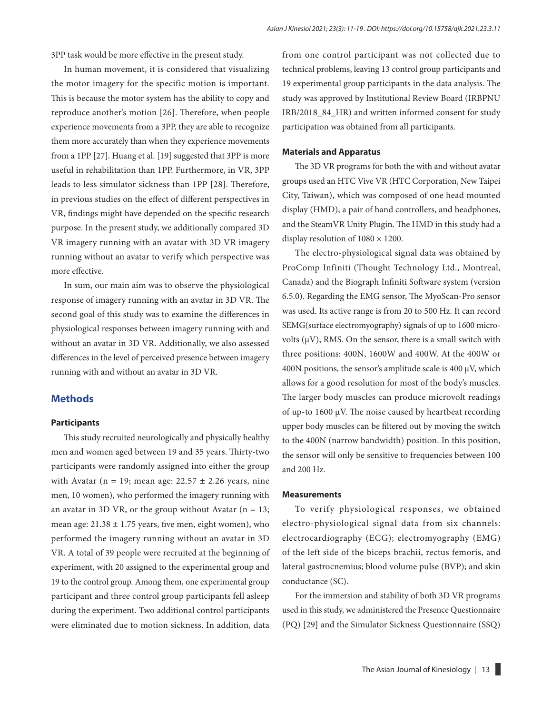3PP task would be more effective in the present study.

In human movement, it is considered that visualizing the motor imagery for the specific motion is important. This is because the motor system has the ability to copy and reproduce another's motion [26]. Therefore, when people experience movements from a 3PP, they are able to recognize them more accurately than when they experience movements from a 1PP [27]. Huang et al. [19] suggested that 3PP is more useful in rehabilitation than 1PP. Furthermore, in VR, 3PP leads to less simulator sickness than 1PP [28]. Therefore, in previous studies on the effect of different perspectives in VR, findings might have depended on the specific research purpose. In the present study, we additionally compared 3D VR imagery running with an avatar with 3D VR imagery running without an avatar to verify which perspective was more effective.

In sum, our main aim was to observe the physiological response of imagery running with an avatar in 3D VR. The second goal of this study was to examine the differences in physiological responses between imagery running with and without an avatar in 3D VR. Additionally, we also assessed differences in the level of perceived presence between imagery running with and without an avatar in 3D VR.

## **Methods**

#### **Participants**

This study recruited neurologically and physically healthy men and women aged between 19 and 35 years. Thirty-two participants were randomly assigned into either the group with Avatar (n = 19; mean age:  $22.57 \pm 2.26$  years, nine men, 10 women), who performed the imagery running with an avatar in 3D VR, or the group without Avatar ( $n = 13$ ; mean age:  $21.38 \pm 1.75$  years, five men, eight women), who performed the imagery running without an avatar in 3D VR. A total of 39 people were recruited at the beginning of experiment, with 20 assigned to the experimental group and 19 to the control group. Among them, one experimental group participant and three control group participants fell asleep during the experiment. Two additional control participants were eliminated due to motion sickness. In addition, data from one control participant was not collected due to technical problems, leaving 13 control group participants and 19 experimental group participants in the data analysis. The study was approved by Institutional Review Board (IRBPNU IRB/2018\_84\_HR) and written informed consent for study participation was obtained from all participants.

#### **Materials and Apparatus**

The 3D VR programs for both the with and without avatar groups used an HTC Vive VR (HTC Corporation, New Taipei City, Taiwan), which was composed of one head mounted display (HMD), a pair of hand controllers, and headphones, and the SteamVR Unity Plugin. The HMD in this study had a display resolution of  $1080 \times 1200$ .

The electro-physiological signal data was obtained by ProComp Infiniti (Thought Technology Ltd., Montreal, Canada) and the Biograph Infiniti Software system (version 6.5.0). Regarding the EMG sensor, The MyoScan-Pro sensor was used. Its active range is from 20 to 500 Hz. It can record SEMG(surface electromyography) signals of up to 1600 microvolts ( $\mu$ V), RMS. On the sensor, there is a small switch with three positions: 400N, 1600W and 400W. At the 400W or 400N positions, the sensor's amplitude scale is 400  $\mu$ V, which allows for a good resolution for most of the body's muscles. The larger body muscles can produce microvolt readings of up-to 1600 µV. The noise caused by heartbeat recording upper body muscles can be filtered out by moving the switch to the 400N (narrow bandwidth) position. In this position, the sensor will only be sensitive to frequencies between 100 and 200 Hz.

#### **Measurements**

To verify physiological responses, we obtained electro-physiological signal data from six channels: electrocardiography (ECG); electromyography (EMG) of the left side of the biceps brachii, rectus femoris, and lateral gastrocnemius; blood volume pulse (BVP); and skin conductance (SC).

For the immersion and stability of both 3D VR programs used in this study, we administered the Presence Questionnaire (PQ) [29] and the Simulator Sickness Questionnaire (SSQ)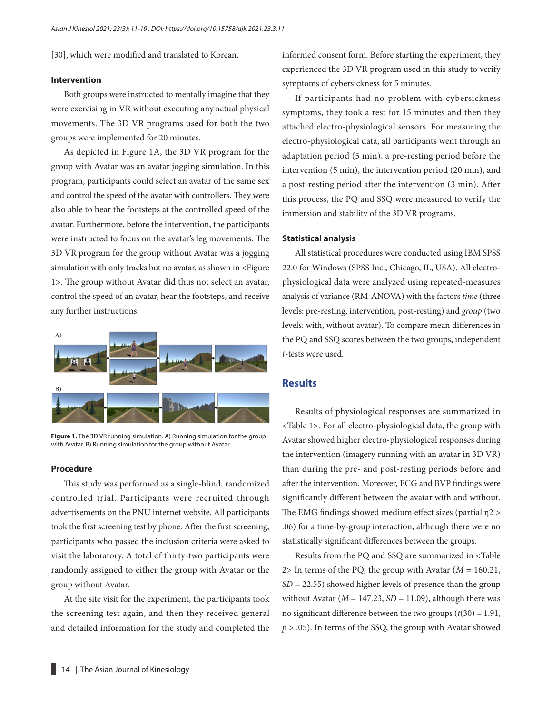[30], which were modified and translated to Korean.

#### **Intervention**

Both groups were instructed to mentally imagine that they were exercising in VR without executing any actual physical movements. The 3D VR programs used for both the two groups were implemented for 20 minutes.

As depicted in Figure 1A, the 3D VR program for the group with Avatar was an avatar jogging simulation. In this program, participants could select an avatar of the same sex and control the speed of the avatar with controllers. They were also able to hear the footsteps at the controlled speed of the avatar. Furthermore, before the intervention, the participants were instructed to focus on the avatar's leg movements. The 3D VR program for the group without Avatar was a jogging simulation with only tracks but no avatar, as shown in <Figure 1>. The group without Avatar did thus not select an avatar, control the speed of an avatar, hear the footsteps, and receive any further instructions.



**Figure 1.** The 3D VR running simulation. A) Running simulation for the group with Avatar. B) Running simulation for the group without Avatar.

#### **Procedure**

This study was performed as a single-blind, randomized controlled trial. Participants were recruited through advertisements on the PNU internet website. All participants took the first screening test by phone. After the first screening, participants who passed the inclusion criteria were asked to visit the laboratory. A total of thirty-two participants were randomly assigned to either the group with Avatar or the group without Avatar.

At the site visit for the experiment, the participants took the screening test again, and then they received general and detailed information for the study and completed the informed consent form. Before starting the experiment, they experienced the 3D VR program used in this study to verify symptoms of cybersickness for 5 minutes.

If participants had no problem with cybersickness symptoms, they took a rest for 15 minutes and then they attached electro-physiological sensors. For measuring the electro-physiological data, all participants went through an adaptation period (5 min), a pre-resting period before the intervention (5 min), the intervention period (20 min), and a post-resting period after the intervention (3 min). After this process, the PQ and SSQ were measured to verify the immersion and stability of the 3D VR programs.

#### **Statistical analysis**

All statistical procedures were conducted using IBM SPSS 22.0 for Windows (SPSS Inc., Chicago, IL, USA). All electrophysiological data were analyzed using repeated-measures analysis of variance (RM-ANOVA) with the factors *time* (three levels: pre-resting, intervention, post-resting) and *group* (two levels: with, without avatar). To compare mean differences in the PQ and SSQ scores between the two groups, independent *t*-tests were used.

## **Results**

Results of physiological responses are summarized in <Table 1>. For all electro-physiological data, the group with Avatar showed higher electro-physiological responses during the intervention (imagery running with an avatar in 3D VR) than during the pre- and post-resting periods before and after the intervention. Moreover, ECG and BVP findings were significantly different between the avatar with and without. The EMG findings showed medium effect sizes (partial η2 > .06) for a time-by-group interaction, although there were no statistically significant differences between the groups.

Results from the PQ and SSQ are summarized in <Table 2> In terms of the PQ, the group with Avatar  $(M = 160.21,$ *SD* = 22.55) showed higher levels of presence than the group without Avatar  $(M = 147.23, SD = 11.09)$ , although there was no significant difference between the two groups (*t*(30) = 1.91, *p* > .05). In terms of the SSQ, the group with Avatar showed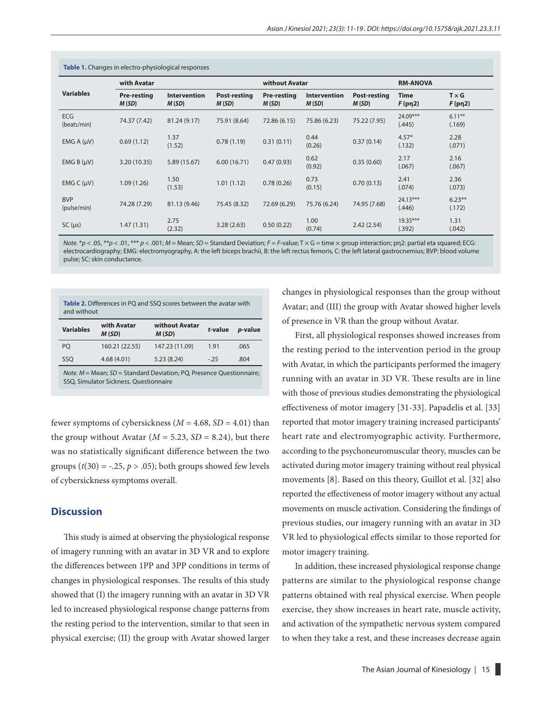| Table 1. Changes in electro-physiological responses |                             |                       |                              |                             |                              |                       |                      |                        |  |  |  |
|-----------------------------------------------------|-----------------------------|-----------------------|------------------------------|-----------------------------|------------------------------|-----------------------|----------------------|------------------------|--|--|--|
| <b>Variables</b>                                    | with Avatar                 |                       |                              | without Avatar              |                              |                       | <b>RM-ANOVA</b>      |                        |  |  |  |
|                                                     | <b>Pre-resting</b><br>M(SD) | Intervention<br>M(SD) | <b>Post-resting</b><br>M(SD) | <b>Pre-resting</b><br>M(SD) | <b>Intervention</b><br>M(SD) | Post-resting<br>M(SD) | Time<br>F(pn2)       | $T \times G$<br>F(pn2) |  |  |  |
| <b>ECG</b><br>(beats/min)                           | 74.37 (7.42)                | 81.24 (9.17)          | 75.91 (8.64)                 | 72.86 (6.15)                | 75.86 (6.23)                 | 75.22 (7.95)          | 24.09***<br>(.445)   | $6.11***$<br>(.169)    |  |  |  |
| EMG A (µV)                                          | 0.69(1.12)                  | 1.37<br>(1.52)        | 0.78(1.19)                   | 0.31(0.11)                  | 0.44<br>(0.26)               | 0.37(0.14)            | $4.57*$<br>(.132)    | 2.28<br>(.071)         |  |  |  |
| EMG B (µV)                                          | 3.20(10.35)                 | 5.89 (15.67)          | 6.00(16.71)                  | 0.47(0.93)                  | 0.62<br>(0.92)               | 0.35(0.60)            | 2.17<br>(.067)       | 2.16<br>(.067)         |  |  |  |
| EMG C (µV)                                          | 1.09(1.26)                  | 1.50<br>(1.53)        | 1.01(1.12)                   | 0.78(0.26)                  | 0.73<br>(0.15)               | 0.70(0.13)            | 2.41<br>(.074)       | 2.36<br>(.073)         |  |  |  |
| <b>BVP</b><br>(pulse/min)                           | 74.28 (7.29)                | 81.13 (9.46)          | 75.45 (8.32)                 | 72.69 (6.29)                | 75.76 (6.24)                 | 74.95 (7.68)          | 24.13***<br>(.446)   | $6.23***$<br>(.172)    |  |  |  |
| $SC(\mu s)$                                         | 1.47(1.31)                  | 2.75<br>(2.32)        | 3.28(2.63)                   | 0.50(0.22)                  | 1.00<br>(0.74)               | 2.42(2.54)            | $19.35***$<br>(.392) | 1.31<br>(.042)         |  |  |  |

*Note.* \**p* < .05, \*\**p* < .01, \*\*\* *p* < .001; *M* = Mean; *SD* = Standard Deviation; *F* = *F*-value; T × G = time × group interaction; pn2: partial eta squared; ECG: electrocardiography; EMG: electromyography, A: the left biceps brachii, B: the left rectus femoris, C: the left lateral gastrocnemius; BVP: blood volume pulse; SC: skin conductance.

| <b>Table 2.</b> Differences in PQ and SSQ scores between the avatar with<br>and without                                                                                                                                                                                                                                         |                      |                         |         |                 |  |  |  |  |  |  |
|---------------------------------------------------------------------------------------------------------------------------------------------------------------------------------------------------------------------------------------------------------------------------------------------------------------------------------|----------------------|-------------------------|---------|-----------------|--|--|--|--|--|--|
| <b>Variables</b>                                                                                                                                                                                                                                                                                                                | with Avatar<br>M(SD) | without Avatar<br>M(SD) | t-value | <i>p</i> -value |  |  |  |  |  |  |
| PO.                                                                                                                                                                                                                                                                                                                             | 160.21 (22.55)       | 147.23 (11.09)          | 1.91    | .065            |  |  |  |  |  |  |
| SSO                                                                                                                                                                                                                                                                                                                             | 4.68(4.01)           | 5.23(8.24)              | $-.25$  | .804            |  |  |  |  |  |  |
| $\mathcal{U}$ , $\mathcal{U}$ , $\mathcal{U}$ , $\mathcal{U}$ , $\mathcal{U}$ , $\mathcal{U}$ , $\mathcal{U}$ , $\mathcal{U}$ , $\mathcal{U}$ , $\mathcal{U}$ , $\mathcal{U}$ , $\mathcal{U}$ , $\mathcal{U}$ , $\mathcal{U}$ , $\mathcal{U}$ , $\mathcal{U}$ , $\mathcal{U}$ , $\mathcal{U}$ , $\mathcal{U}$ , $\mathcal{U}$ , |                      |                         |         |                 |  |  |  |  |  |  |

*Nean; SD* = Standard Deviation; **P** SSQ, Simulator Sickness. Questionnaire

fewer symptoms of cybersickness  $(M = 4.68, SD = 4.01)$  than the group without Avatar  $(M = 5.23, SD = 8.24)$ , but there was no statistically significant difference between the two groups  $(t(30) = -.25, p > .05)$ ; both groups showed few levels of cybersickness symptoms overall.

## **Discussion**

This study is aimed at observing the physiological response of imagery running with an avatar in 3D VR and to explore the differences between 1PP and 3PP conditions in terms of changes in physiological responses. The results of this study showed that (I) the imagery running with an avatar in 3D VR led to increased physiological response change patterns from the resting period to the intervention, similar to that seen in physical exercise; (II) the group with Avatar showed larger changes in physiological responses than the group without Avatar; and (III) the group with Avatar showed higher levels of presence in VR than the group without Avatar.

First, all physiological responses showed increases from the resting period to the intervention period in the group with Avatar, in which the participants performed the imagery running with an avatar in 3D VR. These results are in line with those of previous studies demonstrating the physiological effectiveness of motor imagery [31-33]. Papadelis et al. [33] reported that motor imagery training increased participants' heart rate and electromyographic activity. Furthermore, according to the psychoneuromuscular theory, muscles can be activated during motor imagery training without real physical movements [8]. Based on this theory, Guillot et al. [32] also reported the effectiveness of motor imagery without any actual movements on muscle activation. Considering the findings of previous studies, our imagery running with an avatar in 3D VR led to physiological effects similar to those reported for motor imagery training.

In addition, these increased physiological response change patterns are similar to the physiological response change patterns obtained with real physical exercise. When people exercise, they show increases in heart rate, muscle activity, and activation of the sympathetic nervous system compared to when they take a rest, and these increases decrease again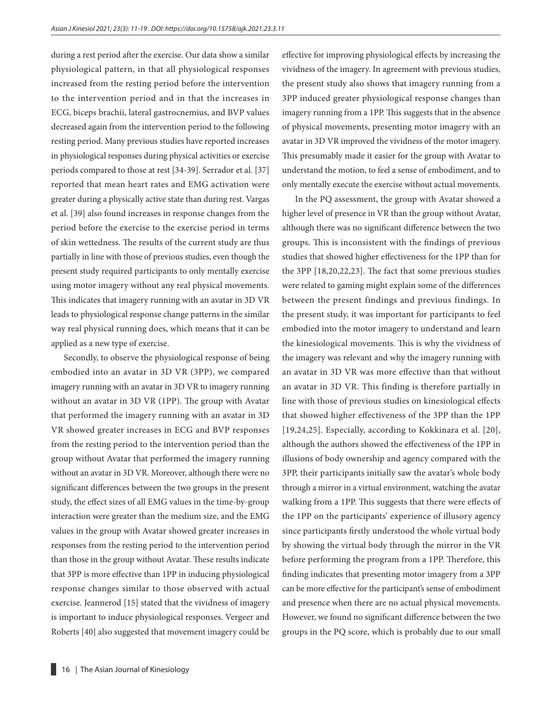during a rest period after the exercise. Our data show a similar physiological pattern, in that all physiological responses increased from the resting period before the intervention to the intervention period and in that the increases in ECG, biceps brachii, lateral gastrocnemius, and BVP values decreased again from the intervention period to the following resting period. Many previous studies have reported increases in physiological responses during physical activities or exercise periods compared to those at rest [34-39]. Serrador et al. [37] reported that mean heart rates and EMG activation were greater during a physically active state than during rest. Vargas et al. [39] also found increases in response changes from the period before the exercise to the exercise period in terms of skin wettedness. The results of the current study are thus partially in line with those of previous studies, even though the present study required participants to only mentally exercise using motor imagery without any real physical movements. This indicates that imagery running with an avatar in 3D VR leads to physiological response change patterns in the similar way real physical running does, which means that it can be applied as a new type of exercise.

Secondly, to observe the physiological response of being embodied into an avatar in 3D VR (3PP), we compared imagery running with an avatar in 3D VR to imagery running without an avatar in 3D VR (1PP). The group with Avatar that performed the imagery running with an avatar in 3D VR showed greater increases in ECG and BVP responses from the resting period to the intervention period than the group without Avatar that performed the imagery running without an avatar in 3D VR. Moreover, although there were no significant differences between the two groups in the present study, the effect sizes of all EMG values in the time-by-group interaction were greater than the medium size, and the EMG values in the group with Avatar showed greater increases in responses from the resting period to the intervention period than those in the group without Avatar. These results indicate that 3PP is more effective than 1PP in inducing physiological response changes similar to those observed with actual exercise. Jeannerod [15] stated that the vividness of imagery is important to induce physiological responses. Vergeer and Roberts [40] also suggested that movement imagery could be

16 | The Asian Journal of Kinesiology

effective for improving physiological effects by increasing the vividness of the imagery. In agreement with previous studies, the present study also shows that imagery running from a 3PP induced greater physiological response changes than imagery running from a 1PP. This suggests that in the absence of physical movements, presenting motor imagery with an avatar in 3D VR improved the vividness of the motor imagery. This presumably made it easier for the group with Avatar to understand the motion, to feel a sense of embodiment, and to only mentally execute the exercise without actual movements.

In the PQ assessment, the group with Avatar showed a higher level of presence in VR than the group without Avatar, although there was no significant difference between the two groups. This is inconsistent with the findings of previous studies that showed higher effectiveness for the 1PP than for the 3PP [18,20,22,23]. The fact that some previous studies were related to gaming might explain some of the differences between the present findings and previous findings. In the present study, it was important for participants to feel embodied into the motor imagery to understand and learn the kinesiological movements. This is why the vividness of the imagery was relevant and why the imagery running with an avatar in 3D VR was more effective than that without an avatar in 3D VR. This finding is therefore partially in line with those of previous studies on kinesiological effects that showed higher effectiveness of the 3PP than the 1PP [19,24,25]. Especially, according to Kokkinara et al. [20], although the authors showed the effectiveness of the 1PP in illusions of body ownership and agency compared with the 3PP, their participants initially saw the avatar's whole body through a mirror in a virtual environment, watching the avatar walking from a 1PP. This suggests that there were effects of the 1PP on the participants' experience of illusory agency since participants firstly understood the whole virtual body by showing the virtual body through the mirror in the VR before performing the program from a 1PP. Therefore, this finding indicates that presenting motor imagery from a 3PP can be more effective for the participant's sense of embodiment and presence when there are no actual physical movements. However, we found no significant difference between the two groups in the PQ score, which is probably due to our small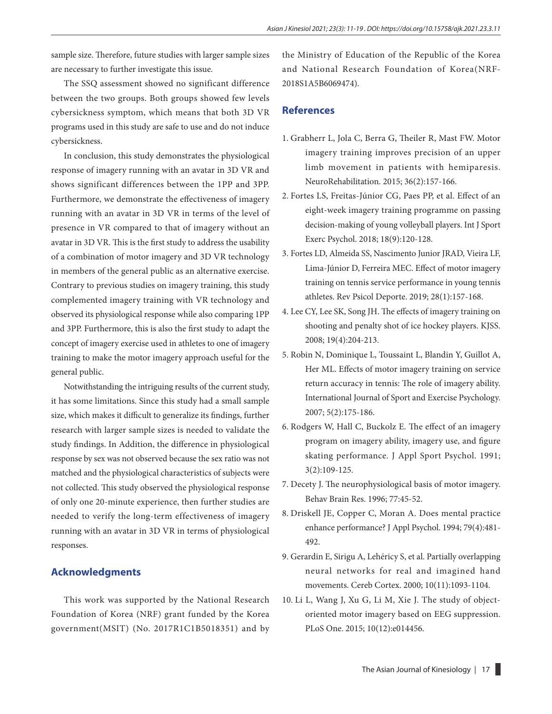sample size. Therefore, future studies with larger sample sizes are necessary to further investigate this issue.

The SSQ assessment showed no significant difference between the two groups. Both groups showed few levels cybersickness symptom, which means that both 3D VR programs used in this study are safe to use and do not induce cybersickness.

In conclusion, this study demonstrates the physiological response of imagery running with an avatar in 3D VR and shows significant differences between the 1PP and 3PP. Furthermore, we demonstrate the effectiveness of imagery running with an avatar in 3D VR in terms of the level of presence in VR compared to that of imagery without an avatar in 3D VR. This is the first study to address the usability of a combination of motor imagery and 3D VR technology in members of the general public as an alternative exercise. Contrary to previous studies on imagery training, this study complemented imagery training with VR technology and observed its physiological response while also comparing 1PP and 3PP. Furthermore, this is also the first study to adapt the concept of imagery exercise used in athletes to one of imagery training to make the motor imagery approach useful for the general public.

Notwithstanding the intriguing results of the current study, it has some limitations. Since this study had a small sample size, which makes it difficult to generalize its findings, further research with larger sample sizes is needed to validate the study findings. In Addition, the difference in physiological response by sex was not observed because the sex ratio was not matched and the physiological characteristics of subjects were not collected. This study observed the physiological response of only one 20-minute experience, then further studies are needed to verify the long-term effectiveness of imagery running with an avatar in 3D VR in terms of physiological responses.

### **Acknowledgments**

This work was supported by the National Research Foundation of Korea (NRF) grant funded by the Korea government(MSIT) (No. 2017R1C1B5018351) and by the Ministry of Education of the Republic of the Korea and National Research Foundation of Korea(NRF-2018S1A5B6069474).

## **References**

- 1. Grabherr L, Jola C, Berra G, Theiler R, Mast FW. Motor imagery training improves precision of an upper limb movement in patients with hemiparesis. NeuroRehabilitation. 2015; 36(2):157-166.
- 2. Fortes LS, Freitas-Júnior CG, Paes PP, et al. Effect of an eight-week imagery training programme on passing decision-making of young volleyball players. Int J Sport Exerc Psychol. 2018; 18(9):120-128.
- 3. Fortes LD, Almeida SS, Nascimento Junior JRAD, Vieira LF, Lima-Júnior D, Ferreira MEC. Effect of motor imagery training on tennis service performance in young tennis athletes. Rev Psicol Deporte. 2019; 28(1):157-168.
- 4. Lee CY, Lee SK, Song JH. The effects of imagery training on shooting and penalty shot of ice hockey players. KJSS. 2008; 19(4):204-213.
- 5. Robin N, Dominique L, Toussaint L, Blandin Y, Guillot A, Her ML. Effects of motor imagery training on service return accuracy in tennis: The role of imagery ability. International Journal of Sport and Exercise Psychology. 2007; 5(2):175-186.
- 6. Rodgers W, Hall C, Buckolz E. The effect of an imagery program on imagery ability, imagery use, and figure skating performance. J Appl Sport Psychol. 1991; 3(2):109-125.
- 7. Decety J. The neurophysiological basis of motor imagery. Behav Brain Res. 1996; 77:45-52.
- 8. Driskell JE, Copper C, Moran A. Does mental practice enhance performance? J Appl Psychol. 1994; 79(4):481- 492.
- 9. Gerardin E, Sirigu A, Lehéricy S, et al. Partially overlapping neural networks for real and imagined hand movements. Cereb Cortex. 2000; 10(11):1093-1104.
- 10. Li L, Wang J, Xu G, Li M, Xie J. The study of objectoriented motor imagery based on EEG suppression. PLoS One. 2015; 10(12):e014456.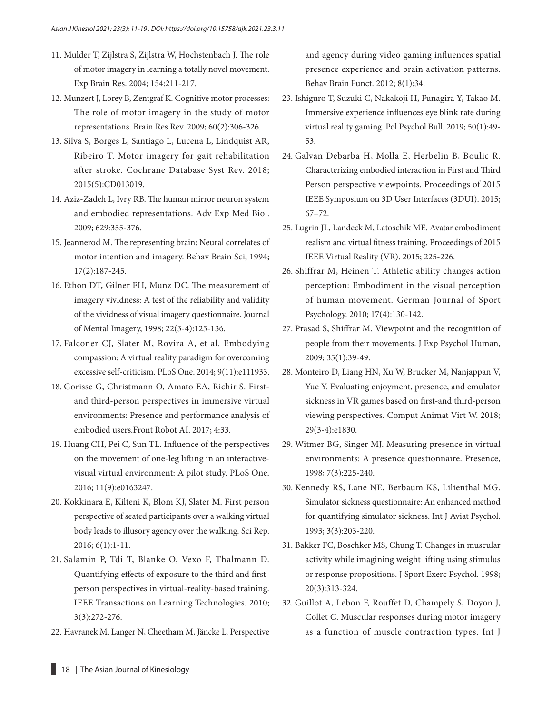- 11. Mulder T, Zijlstra S, Zijlstra W, Hochstenbach J. The role of motor imagery in learning a totally novel movement. Exp Brain Res. 2004; 154:211-217.
- 12. Munzert J, Lorey B, Zentgraf K. Cognitive motor processes: The role of motor imagery in the study of motor representations. Brain Res Rev. 2009; 60(2):306-326.
- 13. Silva S, Borges L, Santiago L, Lucena L, Lindquist AR, Ribeiro T. Motor imagery for gait rehabilitation after stroke. Cochrane Database Syst Rev. 2018; 2015(5):CD013019.
- 14. Aziz-Zadeh L, Ivry RB. The human mirror neuron system and embodied representations. Adv Exp Med Biol. 2009; 629:355-376.
- 15. Jeannerod M. The representing brain: Neural correlates of motor intention and imagery. Behav Brain Sci, 1994; 17(2):187-245.
- 16. Ethon DT, Gilner FH, Munz DC. The measurement of imagery vividness: A test of the reliability and validity of the vividness of visual imagery questionnaire. Journal of Mental Imagery, 1998; 22(3-4):125-136.
- 17. Falconer CJ, Slater M, Rovira A, et al. Embodying compassion: A virtual reality paradigm for overcoming excessive self-criticism. PLoS One. 2014; 9(11):e111933.
- 18. Gorisse G, Christmann O, Amato EA, Richir S. Firstand third-person perspectives in immersive virtual environments: Presence and performance analysis of embodied users.Front Robot AI. 2017; 4:33.
- 19. Huang CH, Pei C, Sun TL. Influence of the perspectives on the movement of one-leg lifting in an interactivevisual virtual environment: A pilot study. PLoS One. 2016; 11(9):e0163247.
- 20. Kokkinara E, Kilteni K, Blom KJ, Slater M. First person perspective of seated participants over a walking virtual body leads to illusory agency over the walking. Sci Rep. 2016; 6(1):1-11.
- 21. Salamin P, Tdi T, Blanke O, Vexo F, Thalmann D. Quantifying effects of exposure to the third and firstperson perspectives in virtual-reality-based training. IEEE Transactions on Learning Technologies. 2010; 3(3):272-276.
- 22. Havranek M, Langer N, Cheetham M, Jäncke L. Perspective

and agency during video gaming influences spatial presence experience and brain activation patterns. Behav Brain Funct. 2012; 8(1):34.

- 23. Ishiguro T, Suzuki C, Nakakoji H, Funagira Y, Takao M. Immersive experience influences eye blink rate during virtual reality gaming. Pol Psychol Bull. 2019; 50(1):49- 53.
- 24. Galvan Debarba H, Molla E, Herbelin B, Boulic R. Characterizing embodied interaction in First and Third Person perspective viewpoints. Proceedings of 2015 IEEE Symposium on 3D User Interfaces (3DUI). 2015; 67–72.
- 25. Lugrin JL, Landeck M, Latoschik ME. Avatar embodiment realism and virtual fitness training. Proceedings of 2015 IEEE Virtual Reality (VR). 2015; 225-226.
- 26. Shiffrar M, Heinen T. Athletic ability changes action perception: Embodiment in the visual perception of human movement. German Journal of Sport Psychology. 2010; 17(4):130-142.
- 27. Prasad S, Shiffrar M. Viewpoint and the recognition of people from their movements. J Exp Psychol Human, 2009; 35(1):39-49.
- 28. Monteiro D, Liang HN, Xu W, Brucker M, Nanjappan V, Yue Y. Evaluating enjoyment, presence, and emulator sickness in VR games based on first-and third-person viewing perspectives. Comput Animat Virt W. 2018; 29(3-4):e1830.
- 29. Witmer BG, Singer MJ. Measuring presence in virtual environments: A presence questionnaire. Presence, 1998; 7(3):225-240.
- 30. Kennedy RS, Lane NE, Berbaum KS, Lilienthal MG. Simulator sickness questionnaire: An enhanced method for quantifying simulator sickness. Int J Aviat Psychol. 1993; 3(3):203-220.
- 31. Bakker FC, Boschker MS, Chung T. Changes in muscular activity while imagining weight lifting using stimulus or response propositions. J Sport Exerc Psychol. 1998; 20(3):313-324.
- 32. Guillot A, Lebon F, Rouffet D, Champely S, Doyon J, Collet C. Muscular responses during motor imagery as a function of muscle contraction types. Int J